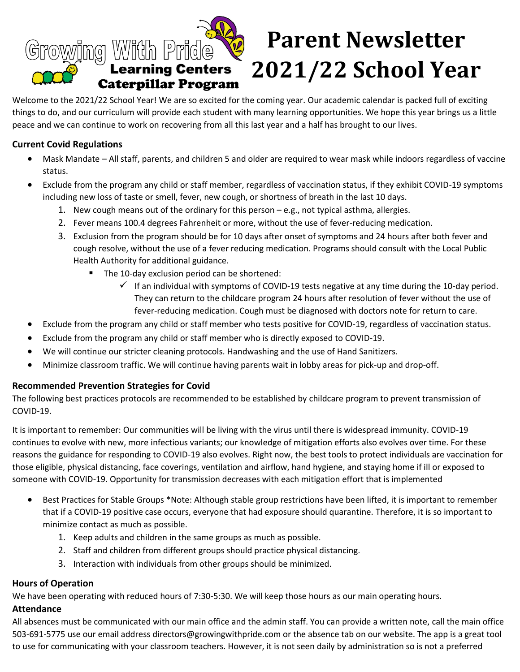

# **Parent Newsletter 2021/22 School Year**

Welcome to the 2021/22 School Year! We are so excited for the coming year. Our academic calendar is packed full of exciting things to do, and our curriculum will provide each student with many learning opportunities. We hope this year brings us a little peace and we can continue to work on recovering from all this last year and a half has brought to our lives.

## **Current Covid Regulations**

- Mask Mandate All staff, parents, and children 5 and older are required to wear mask while indoors regardless of vaccine status.
- Exclude from the program any child or staff member, regardless of vaccination status, if they exhibit COVID-19 symptoms including new loss of taste or smell, fever, new cough, or shortness of breath in the last 10 days.
	- 1. New cough means out of the ordinary for this person e.g., not typical asthma, allergies.
	- 2. Fever means 100.4 degrees Fahrenheit or more, without the use of fever-reducing medication.
	- 3. Exclusion from the program should be for 10 days after onset of symptoms and 24 hours after both fever and cough resolve, without the use of a fever reducing medication. Programs should consult with the Local Public Health Authority for additional guidance.
		- The 10-day exclusion period can be shortened:
			- $\checkmark$  If an individual with symptoms of COVID-19 tests negative at any time during the 10-day period. They can return to the childcare program 24 hours after resolution of fever without the use of fever-reducing medication. Cough must be diagnosed with doctors note for return to care.
- Exclude from the program any child or staff member who tests positive for COVID-19, regardless of vaccination status.
- Exclude from the program any child or staff member who is directly exposed to COVID-19.
- We will continue our stricter cleaning protocols. Handwashing and the use of Hand Sanitizers.
- Minimize classroom traffic. We will continue having parents wait in lobby areas for pick-up and drop-off.

# **Recommended Prevention Strategies for Covid**

The following best practices protocols are recommended to be established by childcare program to prevent transmission of COVID-19.

It is important to remember: Our communities will be living with the virus until there is widespread immunity. COVID-19 continues to evolve with new, more infectious variants; our knowledge of mitigation efforts also evolves over time. For these reasons the guidance for responding to COVID-19 also evolves. Right now, the best tools to protect individuals are vaccination for those eligible, physical distancing, face coverings, ventilation and airflow, hand hygiene, and staying home if ill or exposed to someone with COVID-19. Opportunity for transmission decreases with each mitigation effort that is implemented

- Best Practices for Stable Groups \*Note: Although stable group restrictions have been lifted, it is important to remember that if a COVID-19 positive case occurs, everyone that had exposure should quarantine. Therefore, it is so important to minimize contact as much as possible.
	- 1. Keep adults and children in the same groups as much as possible.
	- 2. Staff and children from different groups should practice physical distancing.
	- 3. Interaction with individuals from other groups should be minimized.

## **Hours of Operation**

We have been operating with reduced hours of 7:30-5:30. We will keep those hours as our main operating hours.

## **Attendance**

All absences must be communicated with our main office and the admin staff. You can provide a written note, call the main office 503-691-5775 use our email address directors@growingwithpride.com or the absence tab on our website. The app is a great tool to use for communicating with your classroom teachers. However, it is not seen daily by administration so is not a preferred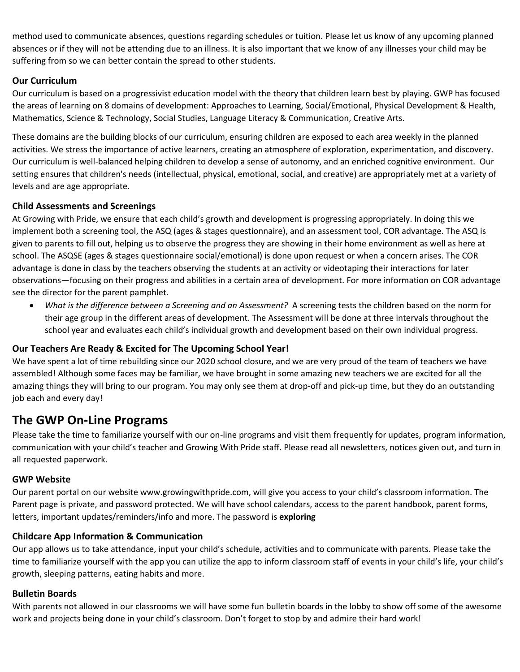method used to communicate absences, questions regarding schedules or tuition. Please let us know of any upcoming planned absences or if they will not be attending due to an illness. It is also important that we know of any illnesses your child may be suffering from so we can better contain the spread to other students.

# **Our Curriculum**

Our curriculum is based on a progressivist education model with the theory that children learn best by playing. GWP has focused the areas of learning on 8 domains of development: Approaches to Learning, Social/Emotional, Physical Development & Health, Mathematics, Science & Technology, Social Studies, Language Literacy & Communication, Creative Arts.

These domains are the building blocks of our curriculum, ensuring children are exposed to each area weekly in the planned activities. We stress the importance of active learners, creating an atmosphere of exploration, experimentation, and discovery. Our curriculum is well-balanced helping children to develop a sense of autonomy, and an enriched cognitive environment. Our setting ensures that children's needs (intellectual, physical, emotional, social, and creative) are appropriately met at a variety of levels and are age appropriate.

# **Child Assessments and Screenings**

At Growing with Pride, we ensure that each child's growth and development is progressing appropriately. In doing this we implement both a screening tool, the ASQ (ages & stages questionnaire), and an assessment tool, COR advantage. The ASQ is given to parents to fill out, helping us to observe the progress they are showing in their home environment as well as here at school. The ASQSE (ages & stages questionnaire social/emotional) is done upon request or when a concern arises. The COR advantage is done in class by the teachers observing the students at an activity or videotaping their interactions for later observations—focusing on their progress and abilities in a certain area of development. For more information on COR advantage see the director for the parent pamphlet.

• *What is the difference between a Screening and an Assessment?* A screening tests the children based on the norm for their age group in the different areas of development. The Assessment will be done at three intervals throughout the school year and evaluates each child's individual growth and development based on their own individual progress.

# **Our Teachers Are Ready & Excited for The Upcoming School Year!**

We have spent a lot of time rebuilding since our 2020 school closure, and we are very proud of the team of teachers we have assembled! Although some faces may be familiar, we have brought in some amazing new teachers we are excited for all the amazing things they will bring to our program. You may only see them at drop-off and pick-up time, but they do an outstanding job each and every day!

# **The GWP On-Line Programs**

Please take the time to familiarize yourself with our on-line programs and visit them frequently for updates, program information, communication with your child's teacher and Growing With Pride staff. Please read all newsletters, notices given out, and turn in all requested paperwork.

# **GWP Website**

Our parent portal on our website www.growingwithpride.com, will give you access to your child's classroom information. The Parent page is private, and password protected. We will have school calendars, access to the parent handbook, parent forms, letters, important updates/reminders/info and more. The password is **exploring** 

# **Childcare App Information & Communication**

Our app allows us to take attendance, input your child's schedule, activities and to communicate with parents. Please take the time to familiarize yourself with the app you can utilize the app to inform classroom staff of events in your child's life, your child's growth, sleeping patterns, eating habits and more.

# **Bulletin Boards**

With parents not allowed in our classrooms we will have some fun bulletin boards in the lobby to show off some of the awesome work and projects being done in your child's classroom. Don't forget to stop by and admire their hard work!